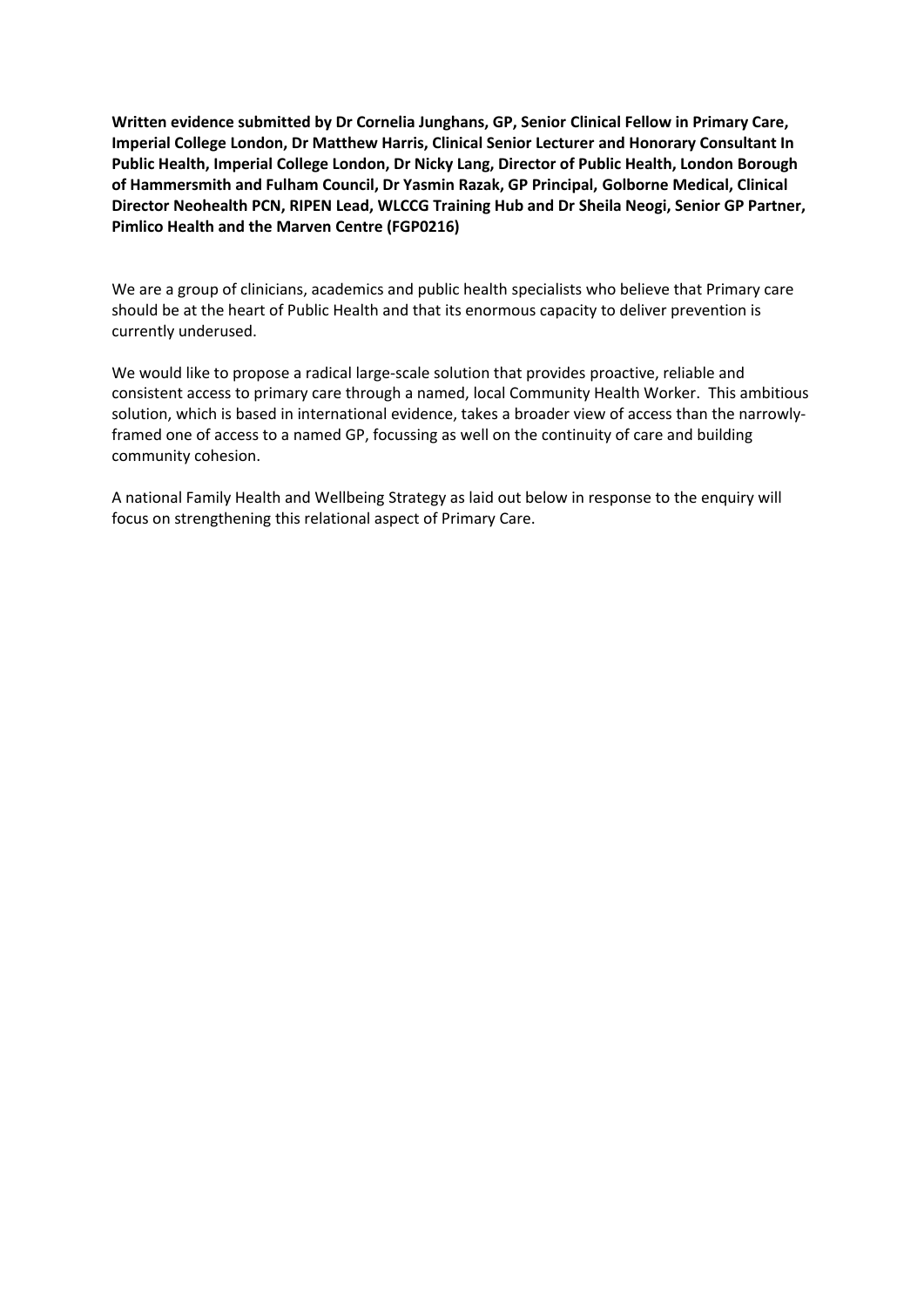**Written evidence submitted by Dr Cornelia Junghans, GP, Senior Clinical Fellow in Primary Care, Imperial College London, Dr Matthew Harris, Clinical Senior Lecturer and Honorary Consultant In Public Health, Imperial College London, Dr Nicky Lang, Director of Public Health, London Borough of Hammersmith and Fulham Council, Dr Yasmin Razak, GP Principal, Golborne Medical, Clinical Director Neohealth PCN, RIPEN Lead, WLCCG Training Hub and Dr Sheila Neogi, Senior GP Partner, Pimlico Health and the Marven Centre (FGP0216)**

We are a group of clinicians, academics and public health specialists who believe that Primary care should be at the heart of Public Health and that its enormous capacity to deliver prevention is currently underused.

We would like to propose a radical large-scale solution that provides proactive, reliable and consistent access to primary care through a named, local Community Health Worker. This ambitious solution, which is based in international evidence, takes a broader view of access than the narrowlyframed one of access to a named GP, focussing as well on the continuity of care and building community cohesion.

A national Family Health and Wellbeing Strategy as laid out below in response to the enquiry will focus on strengthening this relational aspect of Primary Care.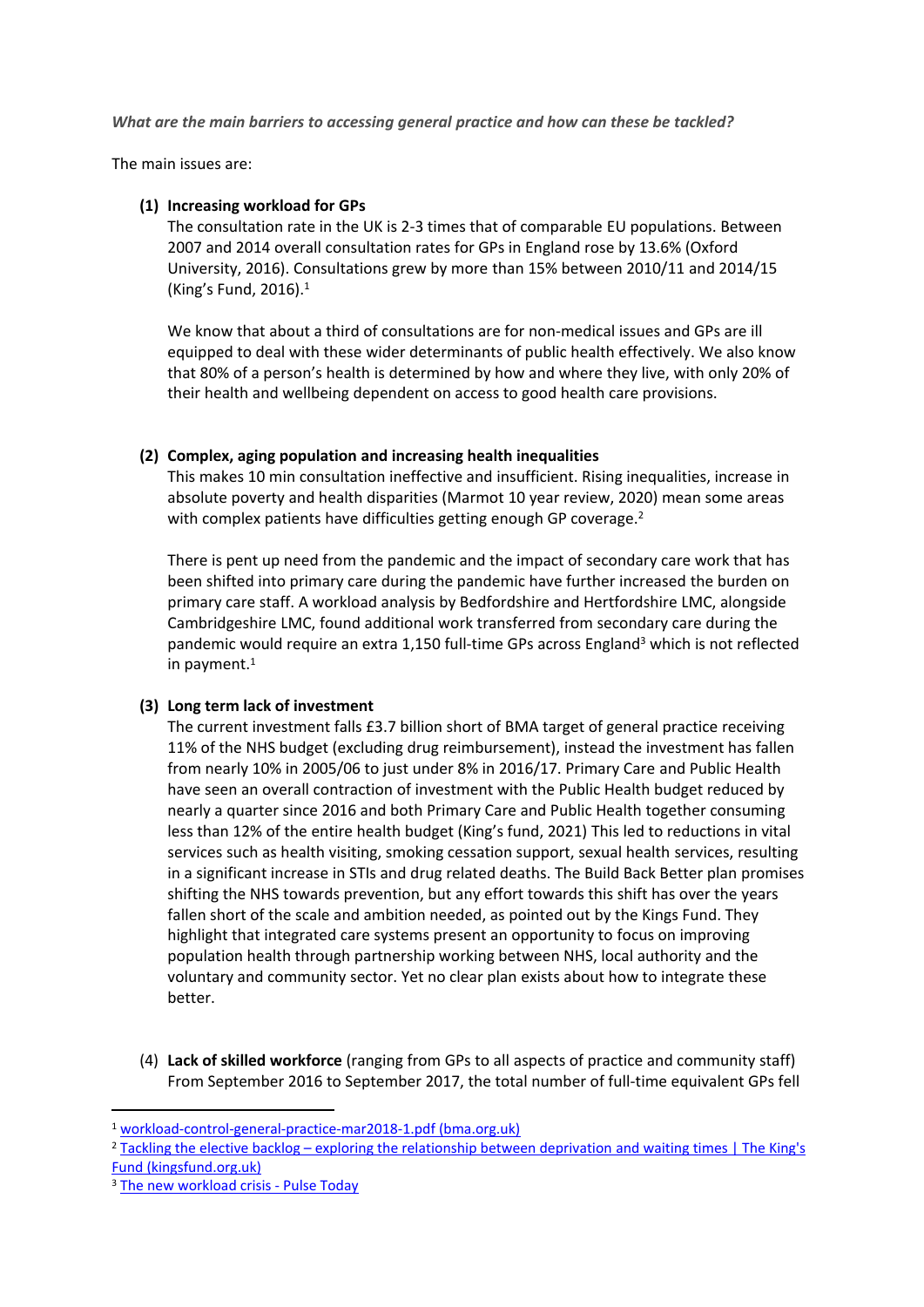*What are the main barriers to accessing general practice and how can these be tackled?*

The main issues are:

#### **(1) Increasing workload for GPs**

The consultation rate in the UK is 2-3 times that of comparable EU populations. Between 2007 and 2014 overall consultation rates for GPs in England rose by 13.6% (Oxford University, 2016). Consultations grew by more than 15% between 2010/11 and 2014/15 (King's Fund, 2016).<sup>1</sup>

We know that about a third of consultations are for non-medical issues and GPs are ill equipped to deal with these wider determinants of public health effectively. We also know that 80% of a person's health is determined by how and where they live, with only 20% of their health and wellbeing dependent on access to good health care provisions.

## **(2) Complex, aging population and increasing health inequalities**

This makes 10 min consultation ineffective and insufficient. Rising inequalities, increase in absolute poverty and health disparities (Marmot 10 year review, 2020) mean some areas with complex patients have difficulties getting enough GP coverage.<sup>2</sup>

There is pent up need from the pandemic and the impact of secondary care work that has been shifted into primary care during the pandemic have further increased the burden on primary care staff. A workload analysis by Bedfordshire and Hertfordshire LMC, alongside Cambridgeshire LMC, found additional work transferred from secondary care during the pandemic would require an extra 1,150 full-time GPs across England<sup>3</sup> which is not reflected in payment.<sup>1</sup>

#### **(3) Long term lack of investment**

The current investment falls £3.7 billion short of BMA target of general practice receiving 11% of the NHS budget (excluding drug reimbursement), instead the investment has fallen from nearly 10% in 2005/06 to just under 8% in 2016/17. Primary Care and Public Health have seen an overall contraction of investment with the Public Health budget reduced by nearly a quarter since 2016 and both Primary Care and Public Health together consuming less than 12% of the entire health budget (King's fund, 2021) This led to reductions in vital services such as health visiting, smoking cessation support, sexual health services, resulting in a significant increase in STIs and drug related deaths. The Build Back Better plan promises shifting the NHS towards prevention, but any effort towards this shift has over the years fallen short of the scale and ambition needed, as pointed out by the Kings Fund. They highlight that integrated care systems present an opportunity to focus on improving population health through partnership working between NHS, local authority and the voluntary and community sector. Yet no clear plan exists about how to integrate these better.

(4) **Lack of skilled workforce** (ranging from GPs to all aspects of practice and community staff) From September 2016 to September 2017, the total number of full-time equivalent GPs fell

<sup>1</sup> [workload-control-general-practice-mar2018-1.pdf](https://www.bma.org.uk/media/1145/workload-control-general-practice-mar2018-1.pdf) [\(bma.org.uk\)](https://www.bma.org.uk/media/1145/workload-control-general-practice-mar2018-1.pdf)

<sup>&</sup>lt;sup>2</sup> [Tackling](https://www.kingsfund.org.uk/blog/2021/09/elective-backlog-deprivation-waiting-times) [the](https://www.kingsfund.org.uk/blog/2021/09/elective-backlog-deprivation-waiting-times) [elective](https://www.kingsfund.org.uk/blog/2021/09/elective-backlog-deprivation-waiting-times) [backlog](https://www.kingsfund.org.uk/blog/2021/09/elective-backlog-deprivation-waiting-times) [–](https://www.kingsfund.org.uk/blog/2021/09/elective-backlog-deprivation-waiting-times) [exploring](https://www.kingsfund.org.uk/blog/2021/09/elective-backlog-deprivation-waiting-times) the [relationship](https://www.kingsfund.org.uk/blog/2021/09/elective-backlog-deprivation-waiting-times) [between](https://www.kingsfund.org.uk/blog/2021/09/elective-backlog-deprivation-waiting-times) [deprivation](https://www.kingsfund.org.uk/blog/2021/09/elective-backlog-deprivation-waiting-times) [and](https://www.kingsfund.org.uk/blog/2021/09/elective-backlog-deprivation-waiting-times) [waiting](https://www.kingsfund.org.uk/blog/2021/09/elective-backlog-deprivation-waiting-times) [times](https://www.kingsfund.org.uk/blog/2021/09/elective-backlog-deprivation-waiting-times) [|](https://www.kingsfund.org.uk/blog/2021/09/elective-backlog-deprivation-waiting-times) [The](https://www.kingsfund.org.uk/blog/2021/09/elective-backlog-deprivation-waiting-times) [King's](https://www.kingsfund.org.uk/blog/2021/09/elective-backlog-deprivation-waiting-times) [Fund](https://www.kingsfund.org.uk/blog/2021/09/elective-backlog-deprivation-waiting-times) [\(kingsfund.org.uk\)](https://www.kingsfund.org.uk/blog/2021/09/elective-backlog-deprivation-waiting-times)

<sup>&</sup>lt;sup>3</sup> [The](https://www.pulsetoday.co.uk/analysis/cover-feature/the-new-workload-crisis/) [new](https://www.pulsetoday.co.uk/analysis/cover-feature/the-new-workload-crisis/) [workload](https://www.pulsetoday.co.uk/analysis/cover-feature/the-new-workload-crisis/) [crisis](https://www.pulsetoday.co.uk/analysis/cover-feature/the-new-workload-crisis/) [-](https://www.pulsetoday.co.uk/analysis/cover-feature/the-new-workload-crisis/) [Pulse](https://www.pulsetoday.co.uk/analysis/cover-feature/the-new-workload-crisis/) [Today](https://www.pulsetoday.co.uk/analysis/cover-feature/the-new-workload-crisis/)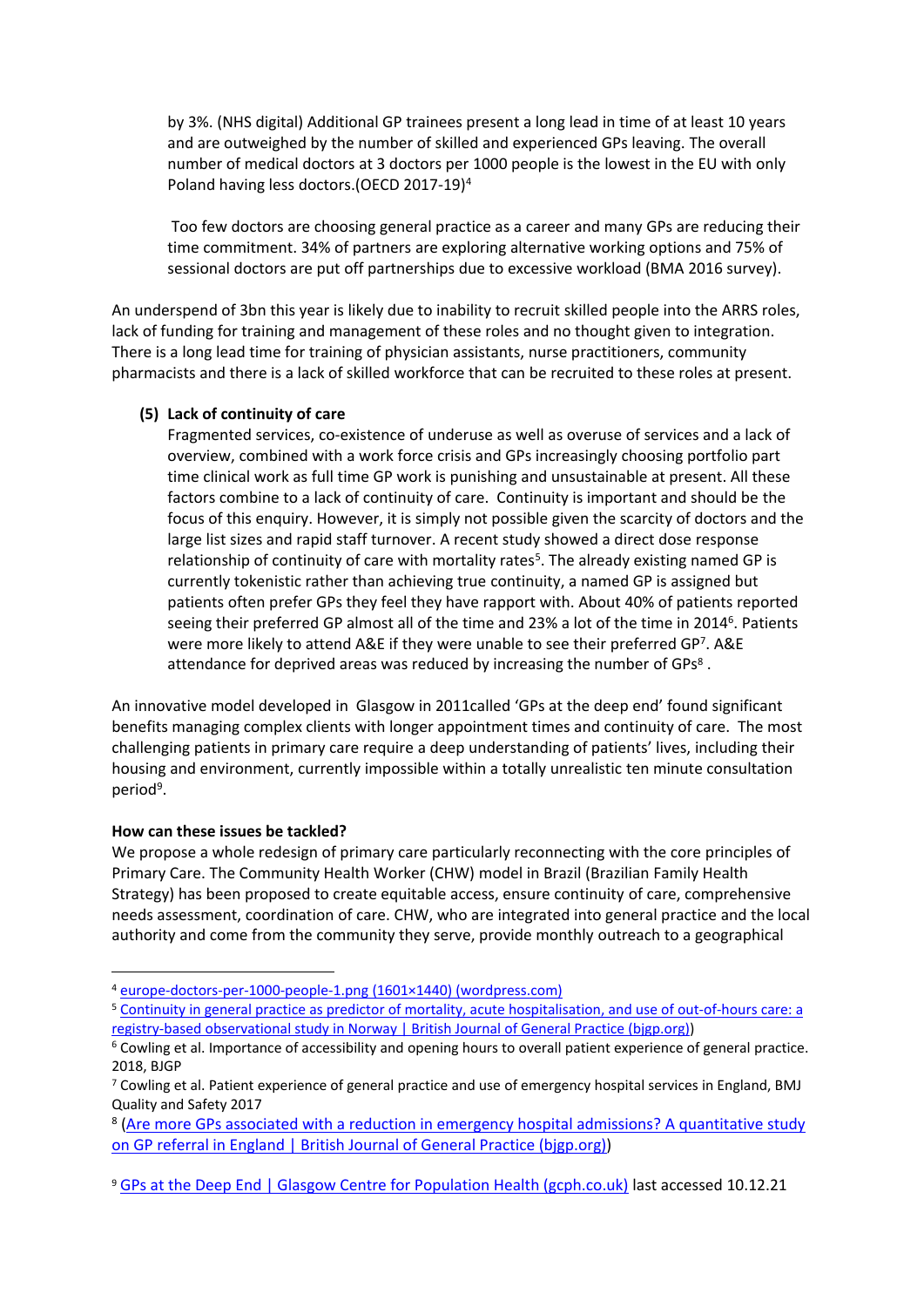by 3%. (NHS digital) Additional GP trainees present a long lead in time of at least 10 years and are outweighed by the number of skilled and experienced GPs leaving. The overall number of medical doctors at 3 doctors per 1000 people is the lowest in the EU with only Poland having less doctors.(OECD 2017-19)<sup>4</sup>

Too few doctors are choosing general practice as a career and many GPs are reducing their time commitment. 34% of partners are exploring alternative working options and 75% of sessional doctors are put off partnerships due to excessive workload (BMA 2016 survey).

An underspend of 3bn this year is likely due to inability to recruit skilled people into the ARRS roles, lack of funding for training and management of these roles and no thought given to integration. There is a long lead time for training of physician assistants, nurse practitioners, community pharmacists and there is a lack of skilled workforce that can be recruited to these roles at present.

#### **(5) Lack of continuity of care**

Fragmented services, co-existence of underuse as well as overuse of services and a lack of overview, combined with a work force crisis and GPs increasingly choosing portfolio part time clinical work as full time GP work is punishing and unsustainable at present. All these factors combine to a lack of continuity of care. Continuity is important and should be the focus of this enquiry. However, it is simply not possible given the scarcity of doctors and the large list sizes and rapid staff turnover. A recent study showed a direct dose response relationship of continuity of care with mortality rates<sup>5</sup>. The already existing named GP is currently tokenistic rather than achieving true continuity, a named GP is assigned but patients often prefer GPs they feel they have rapport with. About 40% of patients reported seeing their preferred GP almost all of the time and 23% a lot of the time in 2014<sup>6</sup>. Patients were more likely to attend A&E if they were unable to see their preferred GP<sup>7</sup>. A&E attendance for deprived areas was reduced by increasing the number of GPs<sup>8</sup>.

An innovative model developed in Glasgow in 2011called 'GPs at the deep end' found significant benefits managing complex clients with longer appointment times and continuity of care. The most challenging patients in primary care require a deep understanding of patients' lives, including their housing and environment, currently impossible within a totally unrealistic ten minute consultation period<sup>9</sup>.

#### **How can these issues be tackled?**

We propose a whole redesign of primary care particularly reconnecting with the core principles of Primary Care. The Community Health Worker (CHW) model in Brazil (Brazilian Family Health Strategy) has been proposed to create equitable access, ensure continuity of care, comprehensive needs assessment, coordination of care. CHW, who are integrated into general practice and the local authority and come from the community they serve, provide monthly outreach to a geographical

<sup>4</sup> [europe-doctors-per-1000-people-1.png](https://landgeistdotcom.files.wordpress.com/2021/09/europe-doctors-per-1000-people-1.png) [\(1601×1440\)](https://landgeistdotcom.files.wordpress.com/2021/09/europe-doctors-per-1000-people-1.png) [\(wordpress.com\)](https://landgeistdotcom.files.wordpress.com/2021/09/europe-doctors-per-1000-people-1.png)

<sup>5</sup> [Continuity](https://bjgp.org/content/early/2021/10/04/BJGP.2021.0340) [in](https://bjgp.org/content/early/2021/10/04/BJGP.2021.0340) [general](https://bjgp.org/content/early/2021/10/04/BJGP.2021.0340) [practice](https://bjgp.org/content/early/2021/10/04/BJGP.2021.0340) [as](https://bjgp.org/content/early/2021/10/04/BJGP.2021.0340) [predictor](https://bjgp.org/content/early/2021/10/04/BJGP.2021.0340) [of](https://bjgp.org/content/early/2021/10/04/BJGP.2021.0340) [mortality,](https://bjgp.org/content/early/2021/10/04/BJGP.2021.0340) [acute](https://bjgp.org/content/early/2021/10/04/BJGP.2021.0340) [hospitalisation,](https://bjgp.org/content/early/2021/10/04/BJGP.2021.0340) [and](https://bjgp.org/content/early/2021/10/04/BJGP.2021.0340) [use](https://bjgp.org/content/early/2021/10/04/BJGP.2021.0340) [of](https://bjgp.org/content/early/2021/10/04/BJGP.2021.0340) [out-of-hours](https://bjgp.org/content/early/2021/10/04/BJGP.2021.0340) [care:](https://bjgp.org/content/early/2021/10/04/BJGP.2021.0340) [a](https://bjgp.org/content/early/2021/10/04/BJGP.2021.0340) [registry-based](https://bjgp.org/content/early/2021/10/04/BJGP.2021.0340) [observational](https://bjgp.org/content/early/2021/10/04/BJGP.2021.0340) [study](https://bjgp.org/content/early/2021/10/04/BJGP.2021.0340) [in](https://bjgp.org/content/early/2021/10/04/BJGP.2021.0340) [Norway](https://bjgp.org/content/early/2021/10/04/BJGP.2021.0340) [|](https://bjgp.org/content/early/2021/10/04/BJGP.2021.0340) [British](https://bjgp.org/content/early/2021/10/04/BJGP.2021.0340) [Journal](https://bjgp.org/content/early/2021/10/04/BJGP.2021.0340) [of](https://bjgp.org/content/early/2021/10/04/BJGP.2021.0340) [General](https://bjgp.org/content/early/2021/10/04/BJGP.2021.0340) [Practice](https://bjgp.org/content/early/2021/10/04/BJGP.2021.0340) [\(bjgp.org\)\)](https://bjgp.org/content/early/2021/10/04/BJGP.2021.0340)

<sup>6</sup> Cowling et al. Importance of accessibility and opening hours to overall patient experience of general practice. 2018, BJGP

<sup>7</sup> Cowling et al. Patient experience of general practice and use of emergency hospital services in England, BMJ Quality and Safety 2017

<sup>&</sup>lt;sup>8</sup> [\(Are](https://bjgp.org/content/71/705/e287) [more](https://bjgp.org/content/71/705/e287) [GPs](https://bjgp.org/content/71/705/e287) [associated](https://bjgp.org/content/71/705/e287) [with](https://bjgp.org/content/71/705/e287) [a](https://bjgp.org/content/71/705/e287) [reduction](https://bjgp.org/content/71/705/e287) [in](https://bjgp.org/content/71/705/e287) [emergency](https://bjgp.org/content/71/705/e287) [hospital](https://bjgp.org/content/71/705/e287) [admissions?](https://bjgp.org/content/71/705/e287) [A](https://bjgp.org/content/71/705/e287) [quantitative](https://bjgp.org/content/71/705/e287) [study](https://bjgp.org/content/71/705/e287) [on](https://bjgp.org/content/71/705/e287) [GP](https://bjgp.org/content/71/705/e287) [referral](https://bjgp.org/content/71/705/e287) [in](https://bjgp.org/content/71/705/e287) [England](https://bjgp.org/content/71/705/e287) [|](https://bjgp.org/content/71/705/e287) [British](https://bjgp.org/content/71/705/e287) [Journal](https://bjgp.org/content/71/705/e287) [of](https://bjgp.org/content/71/705/e287) [General](https://bjgp.org/content/71/705/e287) [Practice](https://bjgp.org/content/71/705/e287) [\(bjgp.org\)\)](https://bjgp.org/content/71/705/e287)

<sup>9</sup> [GPs](https://www.gcph.co.uk/publications/277_gps_at_the_deep_end#:~:text=GPs%20at%20the%20Deep%20End%20-%20Connecting%20with,its%20attempt%20to%20improve%20health%20and%20narrow%20inequalities.) [at](https://www.gcph.co.uk/publications/277_gps_at_the_deep_end#:~:text=GPs%20at%20the%20Deep%20End%20-%20Connecting%20with,its%20attempt%20to%20improve%20health%20and%20narrow%20inequalities.) [the](https://www.gcph.co.uk/publications/277_gps_at_the_deep_end#:~:text=GPs%20at%20the%20Deep%20End%20-%20Connecting%20with,its%20attempt%20to%20improve%20health%20and%20narrow%20inequalities.) [Deep](https://www.gcph.co.uk/publications/277_gps_at_the_deep_end#:~:text=GPs%20at%20the%20Deep%20End%20-%20Connecting%20with,its%20attempt%20to%20improve%20health%20and%20narrow%20inequalities.) [End](https://www.gcph.co.uk/publications/277_gps_at_the_deep_end#:~:text=GPs%20at%20the%20Deep%20End%20-%20Connecting%20with,its%20attempt%20to%20improve%20health%20and%20narrow%20inequalities.) [|](https://www.gcph.co.uk/publications/277_gps_at_the_deep_end#:~:text=GPs%20at%20the%20Deep%20End%20-%20Connecting%20with,its%20attempt%20to%20improve%20health%20and%20narrow%20inequalities.) [Glasgow](https://www.gcph.co.uk/publications/277_gps_at_the_deep_end#:~:text=GPs%20at%20the%20Deep%20End%20-%20Connecting%20with,its%20attempt%20to%20improve%20health%20and%20narrow%20inequalities.) [Centre](https://www.gcph.co.uk/publications/277_gps_at_the_deep_end#:~:text=GPs%20at%20the%20Deep%20End%20-%20Connecting%20with,its%20attempt%20to%20improve%20health%20and%20narrow%20inequalities.) [for](https://www.gcph.co.uk/publications/277_gps_at_the_deep_end#:~:text=GPs%20at%20the%20Deep%20End%20-%20Connecting%20with,its%20attempt%20to%20improve%20health%20and%20narrow%20inequalities.) [Population](https://www.gcph.co.uk/publications/277_gps_at_the_deep_end#:~:text=GPs%20at%20the%20Deep%20End%20-%20Connecting%20with,its%20attempt%20to%20improve%20health%20and%20narrow%20inequalities.) [Health](https://www.gcph.co.uk/publications/277_gps_at_the_deep_end#:~:text=GPs%20at%20the%20Deep%20End%20-%20Connecting%20with,its%20attempt%20to%20improve%20health%20and%20narrow%20inequalities.) [\(gcph.co.uk\)](https://www.gcph.co.uk/publications/277_gps_at_the_deep_end#:~:text=GPs%20at%20the%20Deep%20End%20-%20Connecting%20with,its%20attempt%20to%20improve%20health%20and%20narrow%20inequalities.) last accessed 10.12.21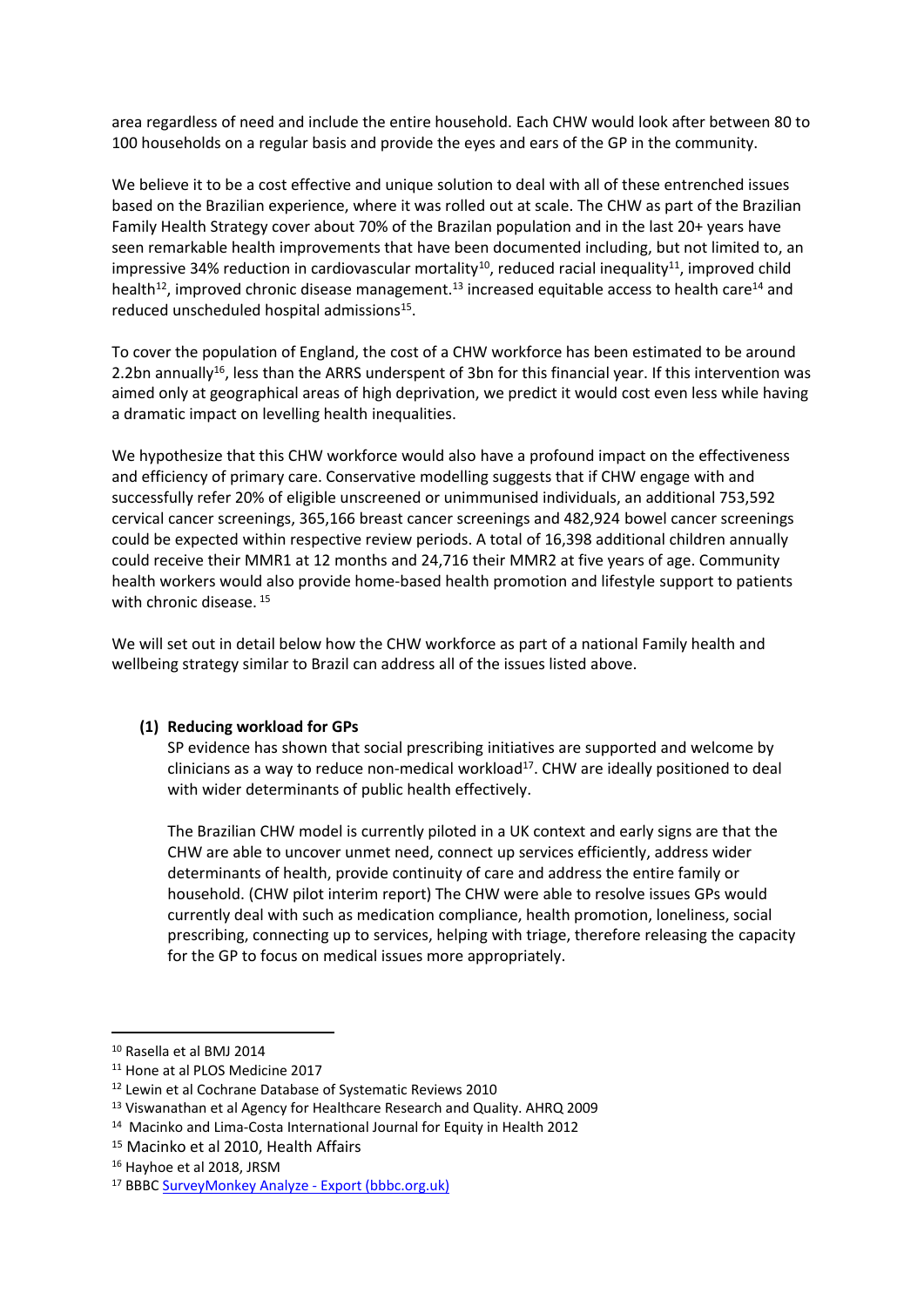area regardless of need and include the entire household. Each CHW would look after between 80 to 100 households on a regular basis and provide the eyes and ears of the GP in the community.

We believe it to be a cost effective and unique solution to deal with all of these entrenched issues based on the Brazilian experience, where it was rolled out at scale. The CHW as part of the Brazilian Family Health Strategy cover about 70% of the Brazilan population and in the last 20+ years have seen remarkable health improvements that have been documented including, but not limited to, an impressive 34% reduction in cardiovascular mortality<sup>10</sup>, reduced racial inequality<sup>11</sup>, improved child health<sup>12</sup>, improved chronic disease management.<sup>13</sup> increased equitable access to health care<sup>14</sup> and reduced unscheduled hospital admissions<sup>15</sup>.

To cover the population of England, the cost of a CHW workforce has been estimated to be around 2.2bn annually<sup>16</sup>, less than the ARRS underspent of 3bn for this financial year. If this intervention was aimed only at geographical areas of high deprivation, we predict it would cost even less while having a dramatic impact on levelling health inequalities.

We hypothesize that this CHW workforce would also have a profound impact on the effectiveness and efficiency of primary care. Conservative modelling suggests that if CHW engage with and successfully refer 20% of eligible unscreened or unimmunised individuals, an additional 753,592 cervical cancer screenings, 365,166 breast cancer screenings and 482,924 bowel cancer screenings could be expected within respective review periods. A total of 16,398 additional children annually could receive their MMR1 at 12 months and 24,716 their MMR2 at five years of age. Community health workers would also provide home-based health promotion and lifestyle support to patients with chronic disease.<sup>15</sup>

We will set out in detail below how the CHW workforce as part of a national Family health and wellbeing strategy similar to Brazil can address all of the issues listed above.

# **(1) Reducing workload for GPs**

SP evidence has shown that social prescribing initiatives are supported and welcome by clinicians as a way to reduce non-medical workload<sup>17</sup>. CHW are ideally positioned to deal with wider determinants of public health effectively.

The Brazilian CHW model is currently piloted in a UK context and early signs are that the CHW are able to uncover unmet need, connect up services efficiently, address wider determinants of health, provide continuity of care and address the entire family or household. (CHW pilot interim report) The CHW were able to resolve issues GPs would currently deal with such as medication compliance, health promotion, loneliness, social prescribing, connecting up to services, helping with triage, therefore releasing the capacity for the GP to focus on medical issues more appropriately.

<sup>10</sup> Rasella et al BMJ 2014

<sup>11</sup> Hone at al PLOS Medicine 2017

<sup>12</sup> Lewin et al Cochrane Database of Systematic Reviews 2010

<sup>&</sup>lt;sup>13</sup> Viswanathan et al Agency for Healthcare Research and Quality. AHRQ 2009

<sup>&</sup>lt;sup>14</sup> Macinko and Lima-Costa International Journal for Equity in Health 2012

<sup>&</sup>lt;sup>15</sup> Macinko et al 2010. Health Affairs

<sup>16</sup> Hayhoe et al 2018, JRSM

<sup>17</sup> BBBC [SurveyMonkey](http://www.bbbc.org.uk/wp-content/uploads/2018/05/MEEBBB_GP_survey_results_May_2016.pdf) [Analyze](http://www.bbbc.org.uk/wp-content/uploads/2018/05/MEEBBB_GP_survey_results_May_2016.pdf) [-](http://www.bbbc.org.uk/wp-content/uploads/2018/05/MEEBBB_GP_survey_results_May_2016.pdf) [Export](http://www.bbbc.org.uk/wp-content/uploads/2018/05/MEEBBB_GP_survey_results_May_2016.pdf) [\(bbbc.org.uk\)](http://www.bbbc.org.uk/wp-content/uploads/2018/05/MEEBBB_GP_survey_results_May_2016.pdf)